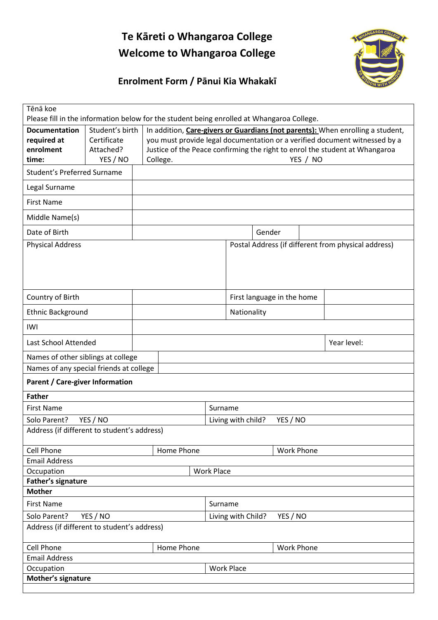# **Te Kāreti o Whangaroa College Welcome to Whangaroa College**



# **Enrolment Form / Pānui Kia Whakakī**

| Tēnā koe<br>Please fill in the information below for the student being enrolled at Whangaroa College. |                                                                                |                                                                             |                                |                                                     |                            |  |
|-------------------------------------------------------------------------------------------------------|--------------------------------------------------------------------------------|-----------------------------------------------------------------------------|--------------------------------|-----------------------------------------------------|----------------------------|--|
| Student's birth<br><b>Documentation</b>                                                               | In addition, Care-givers or Guardians (not parents): When enrolling a student, |                                                                             |                                |                                                     |                            |  |
| required at<br>Certificate                                                                            |                                                                                | you must provide legal documentation or a verified document witnessed by a  |                                |                                                     |                            |  |
| enrolment<br>Attached?                                                                                |                                                                                | Justice of the Peace confirming the right to enrol the student at Whangaroa |                                |                                                     |                            |  |
| YES / NO<br>time:                                                                                     |                                                                                | YES / NO<br>College.                                                        |                                |                                                     |                            |  |
| <b>Student's Preferred Surname</b>                                                                    |                                                                                |                                                                             |                                |                                                     |                            |  |
| Legal Surname                                                                                         |                                                                                |                                                                             |                                |                                                     |                            |  |
| <b>First Name</b>                                                                                     |                                                                                |                                                                             |                                |                                                     |                            |  |
| Middle Name(s)                                                                                        |                                                                                |                                                                             |                                |                                                     |                            |  |
| Date of Birth                                                                                         |                                                                                |                                                                             |                                | Gender                                              |                            |  |
| <b>Physical Address</b>                                                                               |                                                                                |                                                                             |                                | Postal Address (if different from physical address) |                            |  |
|                                                                                                       |                                                                                |                                                                             |                                |                                                     |                            |  |
|                                                                                                       |                                                                                |                                                                             |                                |                                                     |                            |  |
| Country of Birth                                                                                      |                                                                                |                                                                             |                                |                                                     | First language in the home |  |
| Ethnic Background                                                                                     |                                                                                |                                                                             |                                |                                                     |                            |  |
| IWI                                                                                                   |                                                                                |                                                                             | Nationality                    |                                                     |                            |  |
|                                                                                                       |                                                                                |                                                                             |                                |                                                     |                            |  |
|                                                                                                       | Last School Attended<br>Year level:                                            |                                                                             |                                |                                                     |                            |  |
| Names of other siblings at college                                                                    |                                                                                |                                                                             |                                |                                                     |                            |  |
| Names of any special friends at college                                                               |                                                                                |                                                                             |                                |                                                     |                            |  |
| <b>Parent / Care-giver Information</b>                                                                |                                                                                |                                                                             |                                |                                                     |                            |  |
| <b>Father</b>                                                                                         |                                                                                |                                                                             |                                |                                                     |                            |  |
| <b>First Name</b>                                                                                     |                                                                                |                                                                             | Surname                        |                                                     |                            |  |
| Solo Parent?<br>YES / NO                                                                              |                                                                                |                                                                             | Living with child?<br>YES / NO |                                                     |                            |  |
| Address (if different to student's address)                                                           |                                                                                |                                                                             |                                |                                                     |                            |  |
| <b>Cell Phone</b><br>Home Phone                                                                       |                                                                                |                                                                             | <b>Work Phone</b>              |                                                     |                            |  |
| <b>Email Address</b>                                                                                  |                                                                                |                                                                             |                                |                                                     |                            |  |
| Occupation<br><b>Work Place</b>                                                                       |                                                                                |                                                                             |                                |                                                     |                            |  |
| Father's signature                                                                                    |                                                                                |                                                                             |                                |                                                     |                            |  |
| <b>Mother</b>                                                                                         |                                                                                |                                                                             |                                |                                                     |                            |  |
| <b>First Name</b>                                                                                     |                                                                                |                                                                             |                                | Surname                                             |                            |  |
| Solo Parent?<br>YES / NO                                                                              |                                                                                | YES / NO<br>Living with Child?                                              |                                |                                                     |                            |  |
| Address (if different to student's address)                                                           |                                                                                |                                                                             |                                |                                                     |                            |  |
| <b>Cell Phone</b>                                                                                     |                                                                                | Home Phone                                                                  |                                |                                                     | <b>Work Phone</b>          |  |
| <b>Email Address</b>                                                                                  |                                                                                |                                                                             |                                |                                                     |                            |  |
| Occupation                                                                                            |                                                                                |                                                                             | <b>Work Place</b>              |                                                     |                            |  |
| Mother's signature                                                                                    |                                                                                |                                                                             |                                |                                                     |                            |  |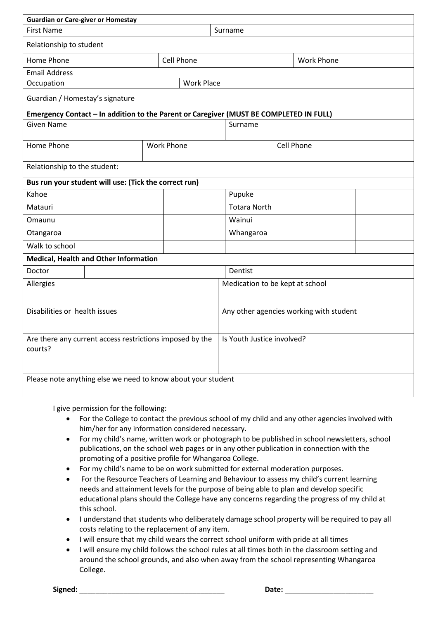| <b>Guardian or Care-giver or Homestay</b>                                              |                   |                                 |                                         |                   |  |  |  |
|----------------------------------------------------------------------------------------|-------------------|---------------------------------|-----------------------------------------|-------------------|--|--|--|
| <b>First Name</b>                                                                      |                   |                                 | Surname                                 |                   |  |  |  |
| Relationship to student                                                                |                   |                                 |                                         |                   |  |  |  |
| Home Phone                                                                             | <b>Cell Phone</b> |                                 |                                         | <b>Work Phone</b> |  |  |  |
| <b>Email Address</b>                                                                   |                   |                                 |                                         |                   |  |  |  |
| <b>Work Place</b><br>Occupation                                                        |                   |                                 |                                         |                   |  |  |  |
| Guardian / Homestay's signature                                                        |                   |                                 |                                         |                   |  |  |  |
| Emergency Contact - In addition to the Parent or Caregiver (MUST BE COMPLETED IN FULL) |                   |                                 |                                         |                   |  |  |  |
| <b>Given Name</b>                                                                      |                   |                                 | Surname                                 |                   |  |  |  |
| Home Phone                                                                             | <b>Work Phone</b> |                                 |                                         | <b>Cell Phone</b> |  |  |  |
| Relationship to the student:                                                           |                   |                                 |                                         |                   |  |  |  |
| Bus run your student will use: (Tick the correct run)                                  |                   |                                 |                                         |                   |  |  |  |
| Kahoe                                                                                  |                   |                                 | Pupuke                                  |                   |  |  |  |
| Matauri                                                                                |                   | <b>Totara North</b>             |                                         |                   |  |  |  |
| Omaunu                                                                                 |                   |                                 | Wainui                                  |                   |  |  |  |
| Otangaroa                                                                              |                   | Whangaroa                       |                                         |                   |  |  |  |
| Walk to school                                                                         |                   |                                 |                                         |                   |  |  |  |
| <b>Medical, Health and Other Information</b>                                           |                   |                                 |                                         |                   |  |  |  |
| Doctor                                                                                 |                   | Dentist                         |                                         |                   |  |  |  |
| Allergies                                                                              |                   | Medication to be kept at school |                                         |                   |  |  |  |
| Disabilities or health issues                                                          |                   |                                 | Any other agencies working with student |                   |  |  |  |
| Are there any current access restrictions imposed by the<br>courts?                    |                   |                                 | Is Youth Justice involved?              |                   |  |  |  |
| Please note anything else we need to know about your student                           |                   |                                 |                                         |                   |  |  |  |

I give permission for the following:

- For the College to contact the previous school of my child and any other agencies involved with him/her for any information considered necessary.
- For my child's name, written work or photograph to be published in school newsletters, school publications, on the school web pages or in any other publication in connection with the promoting of a positive profile for Whangaroa College.
- For my child's name to be on work submitted for external moderation purposes.
- For the Resource Teachers of Learning and Behaviour to assess my child's current learning needs and attainment levels for the purpose of being able to plan and develop specific educational plans should the College have any concerns regarding the progress of my child at this school.
- I understand that students who deliberately damage school property will be required to pay all costs relating to the replacement of any item.
- I will ensure that my child wears the correct school uniform with pride at all times
- I will ensure my child follows the school rules at all times both in the classroom setting and around the school grounds, and also when away from the school representing Whangaroa College.

**Signed:** \_\_\_\_\_\_\_\_\_\_\_\_\_\_\_\_\_\_\_\_\_\_\_\_\_\_\_\_\_\_\_\_\_\_\_\_ **Date:** \_\_\_\_\_\_\_\_\_\_\_\_\_\_\_\_\_\_\_\_\_\_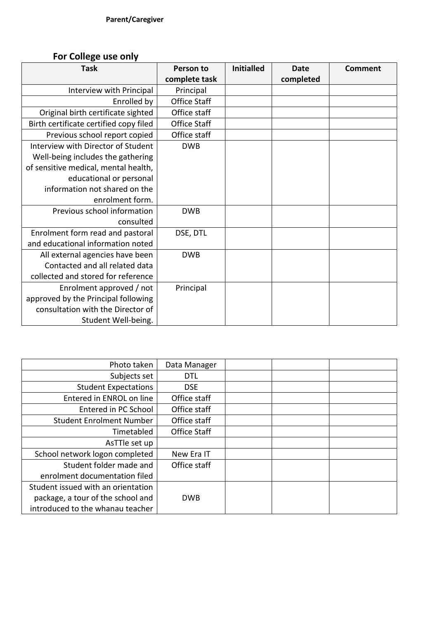## **For College use only**

| <b>Task</b>                            | Person to           | <b>Initialled</b> | Date      | <b>Comment</b> |
|----------------------------------------|---------------------|-------------------|-----------|----------------|
|                                        | complete task       |                   | completed |                |
| Interview with Principal               | Principal           |                   |           |                |
| Enrolled by                            | <b>Office Staff</b> |                   |           |                |
| Original birth certificate sighted     | Office staff        |                   |           |                |
| Birth certificate certified copy filed | <b>Office Staff</b> |                   |           |                |
| Previous school report copied          | Office staff        |                   |           |                |
| Interview with Director of Student     | <b>DWB</b>          |                   |           |                |
| Well-being includes the gathering      |                     |                   |           |                |
| of sensitive medical, mental health,   |                     |                   |           |                |
| educational or personal                |                     |                   |           |                |
| information not shared on the          |                     |                   |           |                |
| enrolment form.                        |                     |                   |           |                |
| Previous school information            | <b>DWB</b>          |                   |           |                |
| consulted                              |                     |                   |           |                |
| Enrolment form read and pastoral       | DSE, DTL            |                   |           |                |
| and educational information noted      |                     |                   |           |                |
| All external agencies have been        | <b>DWB</b>          |                   |           |                |
| Contacted and all related data         |                     |                   |           |                |
| collected and stored for reference     |                     |                   |           |                |
| Enrolment approved / not               | Principal           |                   |           |                |
| approved by the Principal following    |                     |                   |           |                |
| consultation with the Director of      |                     |                   |           |                |
| Student Well-being.                    |                     |                   |           |                |

| Photo taken                        | Data Manager |  |
|------------------------------------|--------------|--|
| Subjects set                       | DTL          |  |
| <b>Student Expectations</b>        | <b>DSE</b>   |  |
| Entered in ENROL on line           | Office staff |  |
| Entered in PC School               | Office staff |  |
| <b>Student Enrolment Number</b>    | Office staff |  |
| Timetabled                         | Office Staff |  |
| AsTTle set up                      |              |  |
| School network logon completed     | New Era IT   |  |
| Student folder made and            | Office staff |  |
| enrolment documentation filed      |              |  |
| Student issued with an orientation |              |  |
| package, a tour of the school and  | <b>DWB</b>   |  |
| introduced to the whanau teacher   |              |  |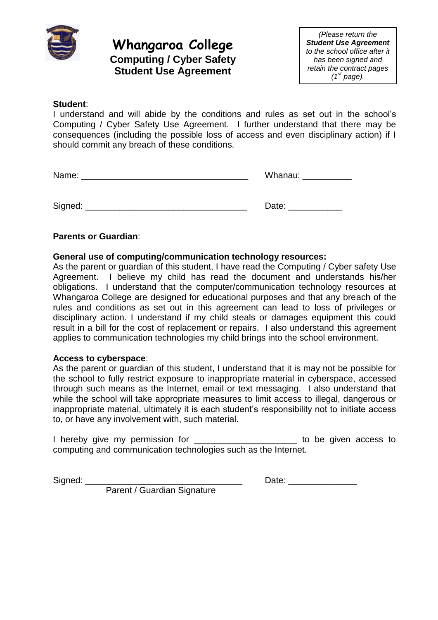

## **Whangaroa College Computing / Cyber Safety Student Use Agreement**

*(Please return the Student Use Agreement to the school office after it has been signed and retain the contract pages (1st page).*

### **Student**:

I understand and will abide by the conditions and rules as set out in the school's Computing / Cyber Safety Use Agreement. I further understand that there may be consequences (including the possible loss of access and even disciplinary action) if I should commit any breach of these conditions.

Name: \_\_\_\_\_\_\_\_\_\_\_\_\_\_\_\_\_\_\_\_\_\_\_\_\_\_\_\_\_\_\_\_\_\_ Whanau: \_\_\_\_\_\_\_\_\_\_

Signed: \_\_\_\_\_\_\_\_\_\_\_\_\_\_\_\_\_\_\_\_\_\_\_\_\_\_\_\_\_\_\_\_\_ Date: \_\_\_\_\_\_\_\_\_\_\_

## **Parents or Guardian**:

## **General use of computing/communication technology resources:**

As the parent or guardian of this student, I have read the Computing / Cyber safety Use Agreement. I believe my child has read the document and understands his/her obligations. I understand that the computer/communication technology resources at Whangaroa College are designed for educational purposes and that any breach of the rules and conditions as set out in this agreement can lead to loss of privileges or disciplinary action. I understand if my child steals or damages equipment this could result in a bill for the cost of replacement or repairs. I also understand this agreement applies to communication technologies my child brings into the school environment.

### **Access to cyberspace**:

As the parent or guardian of this student, I understand that it is may not be possible for the school to fully restrict exposure to inappropriate material in cyberspace, accessed through such means as the Internet, email or text messaging. I also understand that while the school will take appropriate measures to limit access to illegal, dangerous or inappropriate material, ultimately it is each student's responsibility not to initiate access to, or have any involvement with, such material.

I hereby give my permission for the state of the given access to computing and communication technologies such as the Internet.

Signed: \_\_\_\_\_\_\_\_\_\_\_\_\_\_\_\_\_\_\_\_\_\_\_\_\_\_\_\_\_\_\_\_ Date: \_\_\_\_\_\_\_\_\_\_\_\_\_\_

Parent / Guardian Signature